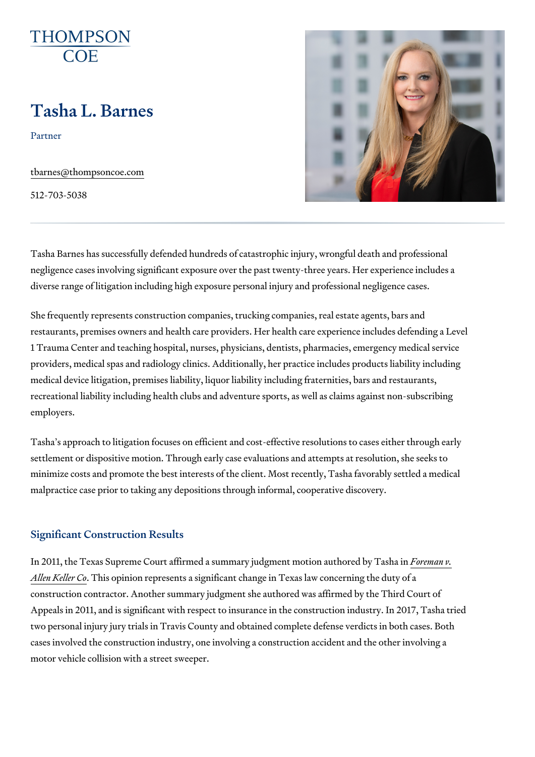# Tasha L. Barnes

Partner

[tbarnes@thompso](mailto:tbarnes@thompsoncoe.com)ncoe.com

512-703-5038

Tasha Barnes has successfully defended hundreds of catastrophic injury, v negligence cases involving significant exposure over the past twenty-three diverse range of litigation including high exposure personal injury and pro

She frequently represents construction companies, trucking companies, real restaurants, premises owners and health care providers. Her health care e 1 Trauma Center and teaching hospital, nurses, physicians, dentists, phari providers, medical spas and radiology clinics. Additionally, her practice in medical device litigation, premises liability, liquor liability including frate recreational liability including health clubs and adventure sports, as well employers.

Tasha s approach to litigation focuses on efficient and cost-effective reso settlement or dispositive motion. Through early case evaluations and atten minimize costs and promote the best interests of the client. Most recently, malpractice case prior to taking any depositions through informal, coopera

#### Significant Construction Results

In 2011, the Texas Supreme Court affirmed a summary jurdome enrathmy ation author [Allen Ke](http://scholar.google.com/scholar_case?case=2678355243548826150&q=foreman+keller&hl=en&as_sdt=4,44 )llen Coopinion represents a significant change in Texas law concerning the duty of all the duty of all construction contractor. Another summary judgment she authored was affir Appeals in 2011, and is significant with respect to insurance in the constr two personal injury jury trials in Travis County and obtained complete defe cases involved the construction industry, one involving a construction acci motor vehicle collision with a street sweeper.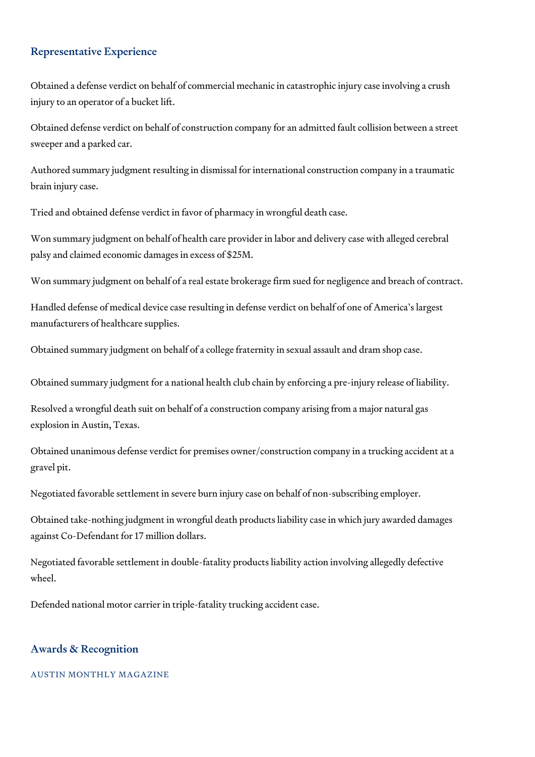# Representative Experience

Obtained a defense verdict on behalf of commercial mechanic in catastrophic injury case involving a crush injury to an operator of a bucket lift.

Obtained defense verdict on behalf of construction company for an admitted fault collision between a street sweeper and a parked car.

Authored summary judgment resulting in dismissal for international construction company in a traumatic brain injury case.

Tried and obtained defense verdict in favor of pharmacy in wrongful death case.

Won summary judgment on behalf of health care provider in labor and delivery case with alleged cerebral palsy and claimed economic damages in excess of \$25M.

Won summary judgment on behalf of a real estate brokerage firm sued for negligence and breach of contract.

Handled defense of medical device case resulting in defense verdict on behalf of one of America's largest manufacturers of healthcare supplies.

Obtained summary judgment on behalf of a college fraternity in sexual assault and dram shop case.

Obtained summary judgment for a national health club chain by enforcing a pre-injury release of liability.

Resolved a wrongful death suit on behalf of a construction company arising from a major natural gas explosion in Austin, Texas.

Obtained unanimous defense verdict for premises owner/construction company in a trucking accident at a gravel pit.

Negotiated favorable settlement in severe burn injury case on behalf of non-subscribing employer.

Obtained take-nothing judgment in wrongful death products liability case in which jury awarded damages against Co-Defendant for 17 million dollars.

Negotiated favorable settlement in double-fatality products liability action involving allegedly defective wheel.

Defended national motor carrier in triple-fatality trucking accident case.

# Awards & Recognition

# AUSTIN MONTHLY MAGAZINE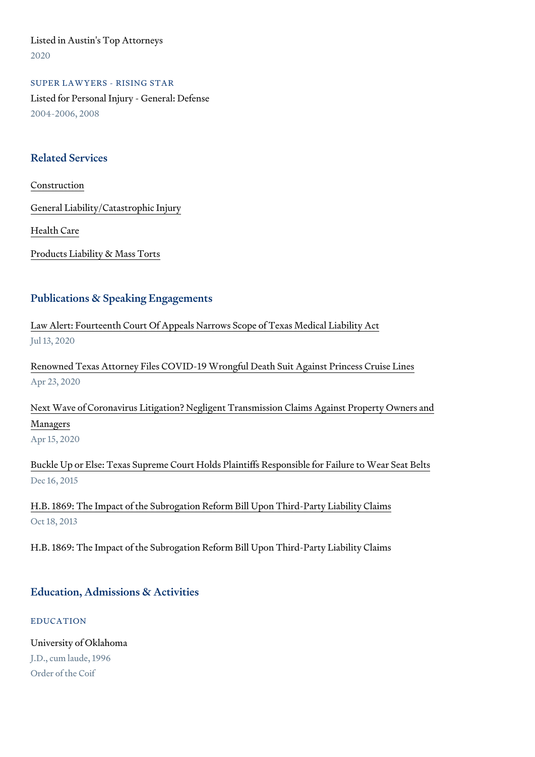Listed in Austin's Top Attorneys 2020

SUPER LAWYERS - RISING STAR Listed for Personal Injury - General: Defense 2004-2006, 2008

#### Related Services

[Constru](https://www.thompsoncoe.com/people/tasha-l-barnes/)ction

[General Liability/Catas](https://www.thompsoncoe.com/people/tasha-l-barnes/)trophic Injury

[Health](https://www.thompsoncoe.com/people/tasha-l-barnes/) Care

[Products Liability &](https://www.thompsoncoe.com/people/tasha-l-barnes/) Mass Torts

#### Publications & Speaking Engagements

[Law Alert: Fourteenth Court Of Appeals Narrows Sco](https://www.thompsoncoe.com/resources/publications/law-alert-fourteenth-court-of-appeals-narrows-scope-of-texas-medical-liability-act/)pe of Texas Medical L Jul 13, 2020

[Renowned Texas Attorney Files COVID-19 Wrongful Death](https://www.thompsoncoe.com/resources/publications/renowned-texas-attorney-files-covid-19-wrongful-death-suit-against-princess-cruise-lines/) Suit Against Prin Apr 23, 2020

[Next Wave of Coronavirus Litigation? Negligent Transmissio](https://www.thompsoncoe.com/resources/publications/next-wave-of-coronavirus-litigation-negligent-transmission-claims-against-property-owners-and-managers/)n Claims Again [Manag](https://www.thompsoncoe.com/resources/publications/next-wave-of-coronavirus-litigation-negligent-transmission-claims-against-property-owners-and-managers/)ers Apr 15, 2020

[Buckle Up or Else: Texas Supreme Court Holds Plaintiffs Re](https://www.thompsoncoe.com/resources/publications/buckle-up-or-else-texas-supreme-court-holds-plaintiffs-responsible-for-failure-to-wear-seat-belts/)sponsible for F Dec 16, 2015

[H.B. 1869: The Impact of the Subrogation Reform Bill](https://www.thompsoncoe.com/resources/publications/h-b-1869-the-impact-of-the-subrogation-reform-bill-upon-third-party-liability-claims/) Upon Third-Party Lia Oct 18, 2013

H.B. 1869: The Impact of the Subrogation Reform Bill Upon Third-Party Lia

#### Education, Admissions & Activities

#### EDUCATION

University of Oklahoma J.D., cum laude, 1996 Order of the Coif